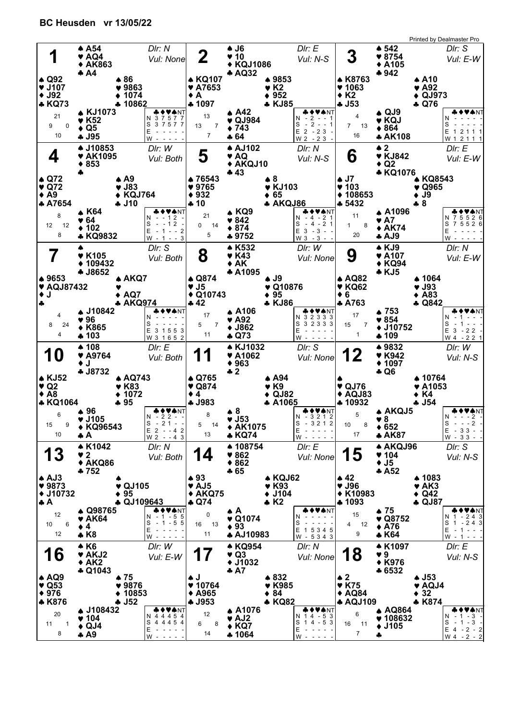|                           |                               |                            |                           |                            |                                                                                                                                |                           |                            | Printed by Dealmaster Pro             |
|---------------------------|-------------------------------|----------------------------|---------------------------|----------------------------|--------------------------------------------------------------------------------------------------------------------------------|---------------------------|----------------------------|---------------------------------------|
|                           | $\triangle$ A54               | Dir: N                     |                           | $\clubsuit$ J6             | Dir: E                                                                                                                         |                           | $\spadesuit$ 542           | DIr: S                                |
| 1                         | ♥ AQ4                         |                            | $\mathbf 2$               | 40                         |                                                                                                                                | $\boldsymbol{3}$          | $*8754$                    |                                       |
|                           | <b>◆ AK863</b>                | Vul: None                  |                           | ◆ KQJ1086                  | Vul: N-S                                                                                                                       |                           | $\triangle$ A105           | Vul: E-W                              |
|                           | $+ A4$                        |                            |                           | <b>* AQ32</b>              |                                                                                                                                |                           | $*942$                     |                                       |
| $\triangle$ Q92           |                               | $\clubsuit 86$             | <b>A KQ107</b>            |                            | ▲ 9853                                                                                                                         | ▲ K8763                   |                            | $\triangle$ A10                       |
|                           |                               |                            |                           |                            |                                                                                                                                |                           |                            |                                       |
| $\blacktriangledown$ J107 |                               | $*9863$                    | <b>* A7653</b>            | $\blacktriangledown$ K2    |                                                                                                                                | $*1063$                   |                            | $\blacktriangledown$ A92              |
| $\blacklozenge$ J92       |                               | $* 1074$                   | $\bullet$ A               |                            | $\div$ 952                                                                                                                     | $\bullet$ K <sub>2</sub>  |                            | $\triangleleft$ QJ973                 |
| <b>* KQ73</b>             |                               | ♣ 10862                    | ♣ 1097                    |                            | * KJ85                                                                                                                         | $-153$                    |                            | + Q76                                 |
|                           | <b>KJ1073</b>                 | <b>&amp;♦♥★</b> NT         |                           | $\spadesuit$ A42           | <b>&amp;♦♥★</b> NT                                                                                                             |                           | $\triangle$ QJ9            | VANT                                  |
| 21                        | ♥ K52                         | N 3 7 5 7 7                | 13                        | $\blacktriangledown$ QJ984 | N - 2 - - 1                                                                                                                    | 4                         | Y KQJ                      |                                       |
| 9<br>$\Omega$             | $\bullet$ Q5                  | S 3 7 5 7 7                | 13<br>7                   | $\div 743$                 | S<br>$-2 - 1$                                                                                                                  | $7^{\circ}$<br>13         | $*864$                     | S                                     |
| 10                        |                               | E                          | 7                         |                            | $E$ 2 - 23                                                                                                                     | 16                        |                            | E<br>1 2 1 1 1                        |
|                           | ÷ J95                         | W<br>$\sim$ $\sim$ $\sim$  |                           | ♣ 64                       | $W2 - 23 -$                                                                                                                    |                           | * AK108                    | W 1 2 1 1 1                           |
|                           | <b>▲ J10853</b>               | Dir: W                     |                           | <b>▲ AJ102</b>             | DIr: N                                                                                                                         |                           | $\triangle$ 2              | DIr: E                                |
| 4                         | <b>* AK1095</b>               |                            | 5                         | ♥ AQ                       |                                                                                                                                | 6                         | <b>v</b> KJ842             |                                       |
|                           |                               | Vul: Both                  |                           |                            | Vul: N-S                                                                                                                       |                           |                            | Vul: E-W                              |
|                           | $*853$                        |                            |                           | ♦ AKQJ10                   |                                                                                                                                |                           | $\triangle$ Q2             |                                       |
|                           | 4                             |                            |                           | 43                         |                                                                                                                                |                           | * KQ1076                   |                                       |
| $\triangle$ Q72           |                               | $\triangle$ A9             | ▲ 76543                   | $\clubsuit$ 8              |                                                                                                                                | $\clubsuit$ J7            |                            | <b>A KQ8543</b>                       |
| $\blacktriangledown$ Q72  |                               | $\blacktriangledown$ J83   | $*9765$                   |                            | $\blacktriangledown$ KJ103                                                                                                     | $\blacktriangledown$ 103  |                            | $\blacktriangledown$ Q965             |
| $\triangle$ A9            |                               | ◆ KQJ764                   | ♦ 932                     | $+65$                      |                                                                                                                                | ◆ 108653                  |                            | $\bullet$ J9                          |
| *A7654                    |                               | + J10                      | $+10$                     |                            | <b>* AKQJ86</b>                                                                                                                | * 5432                    |                            | $-8$                                  |
|                           | ▲ K64                         | ◆♥♠NT                      |                           | ▲ KQ9                      | & ♦ ♥★NT                                                                                                                       |                           | <b>A1096</b>               | VANT                                  |
| 8                         | ♥ 64                          | $-12 -$<br>N -             | 21                        | $\bullet 842$              | N - 4 - 21                                                                                                                     | 11                        | $\blacktriangledown$ A7    | N 7 5 5 2 6                           |
| 12 <sup>12</sup><br>12    |                               | S<br>$-12 -$               | 0<br>14                   | $*874$                     | S<br>$-4 - 21$                                                                                                                 | $1 \quad$<br>8            |                            | S 7 5 5 2 6                           |
| 8                         | ♦ 102                         | E<br>$-1 - -2$             | 5                         |                            | $E$ 3 - 3 - -                                                                                                                  | 20                        | $\triangle$ AK74           | Ε                                     |
|                           | * KQ9832                      | $W - 1 - - 3$              |                           | ♣9752                      | $W3 - 3 - -$                                                                                                                   |                           | <b>4 AJ9</b>               | $W - - - -$                           |
|                           |                               | Dir: S                     |                           | <b>*K532</b>               | DIr: W                                                                                                                         |                           | * KJ9                      | DIr: N                                |
|                           | <b>v</b> K105                 |                            | 8                         | <b>v</b> K43               |                                                                                                                                | 9                         | $\blacktriangledown$ A107  |                                       |
|                           |                               | Vul: Both                  |                           |                            | Vul: None                                                                                                                      |                           |                            | Vul: E-W                              |
|                           | $*109432$                     |                            |                           | ◆ AK                       |                                                                                                                                |                           | ◆ KQ94                     |                                       |
|                           | + J8652                       |                            |                           | * A1095                    |                                                                                                                                |                           | * KJ5                      |                                       |
| ▲ 9653                    |                               | ▲ AKQ7                     | ▲ Q874                    | A J9                       |                                                                                                                                | ▲ AQ82                    |                            | ▲ 1064                                |
| ♥ AQJ87432                |                               |                            | $\blacktriangledown$ J5   |                            | $\triangledown$ Q10876                                                                                                         | <b>▼ KQ62</b>             |                            | $\blacktriangledown$ J93              |
| $\bullet$ J               |                               | AQ7                        | $\triangle$ Q10743        | $\bullet$ 95               |                                                                                                                                | $\bullet$ 6               |                            | $\triangle$ A83                       |
| 4                         |                               | <b>* AKQ974</b>            | 42 ھ                      |                            | <b>* KJ86</b>                                                                                                                  | <b>A763</b>               |                            | <b>4 Q842</b>                         |
|                           | <b>4 J10842</b>               | <b>AVANT</b>               |                           | <b>A106</b>                | & ♦ ♥♠NT                                                                                                                       |                           | ▲ 753                      | N♦VANT                                |
| 4                         | ♥ 96                          | N -                        | 17                        | $\blacktriangledown$ A92   | N 3 2 3 3 3                                                                                                                    | 17                        | $*854$                     | N<br>$-1 - -$                         |
| 8<br>24                   |                               | S                          | 5<br>7                    |                            | S<br>3 2 3 3 3                                                                                                                 | 15<br>7                   |                            | S<br>$-1 - -$                         |
|                           | ◆ K865                        | E 3 1 5 5 3                |                           | $\blacklozenge$ J862       | E                                                                                                                              |                           | ♦ J10752                   | $E$ 3 - 22 -                          |
| 4                         | ♣ 103                         |                            | 11                        |                            |                                                                                                                                |                           |                            |                                       |
|                           |                               | W 3 1 6 5 2                |                           | * Q73                      | W                                                                                                                              | $\mathbf{1}$              | * 109                      | W 4 - 2 2 1                           |
|                           |                               |                            |                           |                            |                                                                                                                                |                           |                            |                                       |
|                           | $*108$                        | Dir: E                     |                           | <b>AKJ1032</b>             | Dir: S                                                                                                                         |                           | ▲ 9832                     | DIr: W                                |
| 10                        | ♥ A9764                       | Vul: Both                  |                           | <b>* A1062</b>             | Vul: None                                                                                                                      | 12                        | <b>v</b> K942              | Vul: N-S                              |
|                           | $\bullet$ J                   |                            |                           | $*963$                     |                                                                                                                                |                           | $* 1097$                   |                                       |
|                           | <b>4 J8732</b>                |                            |                           | $\clubsuit$ 2              |                                                                                                                                |                           | * Q6                       |                                       |
| <b>4 KJ52</b>             |                               | A AQ743                    | A Q765                    |                            | ▲ A94                                                                                                                          |                           |                            | ▲ 10764                               |
| $\blacktriangledown$ Q2   |                               | <b>v</b> K83               | $\blacktriangledown$ Q874 | $\blacktriangledown$ K9    |                                                                                                                                | $\blacktriangledown$ QJ76 |                            | $\blacktriangledown$ A1053            |
| $\triangle$ A8            |                               | $\div$ 1072                | $\bullet$ 4               |                            | $\triangle$ QJ82                                                                                                               | $\triangle$ AQJ83         |                            | $\bullet$ K4                          |
| <b>*KQ1064</b>            |                               | 95 ھ                       | <b>4 J983</b>             |                            | * A1065                                                                                                                        | ♣ 10932                   |                            | * J54                                 |
|                           | ♦ 96                          | <b>&amp;♦♥♠</b> NT         |                           | $\clubsuit$ 8              | <b>♣♦♥♠</b> NT                                                                                                                 |                           | <b>AKQJ5</b>               | ◆♥♠NT                                 |
| 6                         | ♥ J105                        | $N - 22 -$                 | 8                         | $\bullet$ .153             | N - 3 2 1 2                                                                                                                    | 5                         |                            | IN ---2                               |
| 15<br>9                   |                               | $S - 21 - -$               | 5<br>14                   |                            | S<br>$-3212$                                                                                                                   | 10<br>8                   | $\blacktriangledown 8$     | S<br>$- - - 2$                        |
| 10                        | ◆ KQ96543                     | $E$ 2 - -4 2               | 13                        | ◆ AK1075                   | Ε<br>$\begin{array}{cccccccccccccc} \bullet & \bullet & \bullet & \bullet & \bullet & \bullet & \bullet & \bullet \end{array}$ | 17                        | $\div 652$                 |                                       |
|                           | ÷ A                           | $W 2 - -4 3$               |                           | <b>*KQ74</b>               | W -<br>$\sim$ $\sim$ $\sim$ $\sim$                                                                                             |                           | * AK87                     | $E - 33 - -$<br>W - 33 - -            |
|                           | <b>4 K1042</b>                | Dir: N                     |                           | ▲ 108754                   | Dir: E                                                                                                                         |                           | <b>A AKQJ96</b>            | Dir: S                                |
|                           |                               |                            |                           |                            |                                                                                                                                |                           |                            |                                       |
| 13                        | $\bullet$ 2                   | Vul: Both                  | 14                        | 9862                       | Vul: None                                                                                                                      | 15                        | $\blacktriangledown$ 104   | Vul: N-S                              |
|                           | ◆ AKQ86                       |                            |                           | $*862$                     |                                                                                                                                |                           | $\bullet$ J5               |                                       |
|                           | $*752$                        |                            |                           | $+65$                      |                                                                                                                                |                           | A 52                       |                                       |
| $A$ AJ3                   |                               |                            | $\clubsuit$ 93            |                            | ▲ KQJ62                                                                                                                        | $\clubsuit$ 42            |                            | ▲ 1083                                |
| $*9873$                   |                               | $\blacktriangledown$ QJ105 | $\blacktriangledown$ AJ5  |                            | $\blacktriangledown$ K93                                                                                                       | $\blacktriangledown$ J96  |                            | $\blacktriangledown$ AK3              |
| ◆ J10732                  |                               | $\bullet$ 95               | $* AKQ75$                 |                            | $\bullet$ J104                                                                                                                 | ◆ K10983                  |                            | $\bullet$ Q42                         |
| $\clubsuit$ A             |                               | + QJ109643                 | $\clubsuit$ Q74           | $\clubsuit$ K <sub>2</sub> |                                                                                                                                | ♣ 1093                    |                            | + QJ87                                |
|                           | ♦ Q98765                      | ◆♥♠NT                      |                           | АA                         | H O VANT                                                                                                                       |                           | $\bullet$ 75               | VANT                                  |
| 12                        | $\blacktriangledown$ AK64     | $N - 1 - 55$               | 0                         | $\blacktriangledown$ Q1074 | N                                                                                                                              | 15                        | $\blacktriangledown$ Q8752 |                                       |
| 6<br>10                   |                               | $-1$ - 5 5<br>S            | 16 13                     |                            | S                                                                                                                              | 4 12                      |                            | S                                     |
| 12                        | $\bullet$ 4                   | Ε                          | 11                        | $\bullet$ 93               | E 1 5 3 4 5                                                                                                                    | 9                         | $\bullet$ A76              | E<br>$  -$                            |
|                           | * K8                          | W                          |                           | <b>AJ10983</b>             | W - 5343                                                                                                                       |                           | * K64                      | N 1 - 243<br>$1 - 243$<br>$W - 1 - -$ |
|                           | $\triangle$ K <sub>6</sub>    | Dir: W                     |                           | <b>* KQ954</b>             | DIr: N                                                                                                                         |                           | <b>▲ K1097</b>             |                                       |
|                           |                               |                            |                           |                            |                                                                                                                                |                           |                            | Dir: E                                |
| 16                        | ♥ AKJ2                        | Vul: E-W                   |                           | ♥ Q3                       | Vul: None                                                                                                                      | 18                        | 9 <sub>o</sub>             | Vul: N-S                              |
|                           | $* AK2$                       |                            |                           | $+ J1032$                  |                                                                                                                                |                           | ◆ K976                     |                                       |
|                           | <b>4 Q1043</b>                |                            |                           | A <sub>7</sub>             |                                                                                                                                |                           | ♣ 6532                     |                                       |
| $\triangle$ AQ9           |                               | $\bullet$ 75               | A J                       |                            | ▲ 832                                                                                                                          | $\triangle 2$             |                            | $\triangle$ J53                       |
| $\blacktriangledown$ Q53  |                               | $*9876$                    | $*10764$                  |                            | <b>v</b> K985                                                                                                                  | <b>v</b> K75              |                            | ♥ AQJ4                                |
| $*976$                    |                               | $* 10853$                  | $\triangle$ A965          | $\div 84$                  |                                                                                                                                | $\triangle$ AQ84          |                            | $\bullet$ 32                          |
| * K876                    |                               | $-152$                     | <b>4 J953</b>             |                            | <b>* KQ82</b>                                                                                                                  | <b>AQJ109</b>             |                            | * K874                                |
|                           | <b>4 J108432</b>              | ◆♥◆NT                      |                           | <b>A1076</b>               | & ♦ ♥♠NT                                                                                                                       |                           | <b>A AQ864</b>             | <b>++VANT</b>                         |
| 20                        | $\blacktriangledown$ 104      | N 4 4 4 5 4                | 12                        |                            | N 14 - 53                                                                                                                      | 6                         |                            | $-1 - 3 -$<br>N.                      |
| 11<br>1                   |                               | S 4 4 4 5 4                | 6<br>8                    | $\blacktriangledown$ AJ2   | S<br>$14 - 53$                                                                                                                 | 16<br>11                  | $*108632$                  | $-1 - 3 -$<br>S                       |
| 8                         | $\triangleleft$ QJ4<br>$+ A9$ | Е<br>w - - - - -           | 14                        | $\triangle$ KQ7<br>♣ 1064  | Е<br>$W - - - - -$                                                                                                             | $\overline{7}$            | $\div$ J105<br>4           | $E$ 4 - 2 - 2<br>$W 4 - 2 - 2$        |